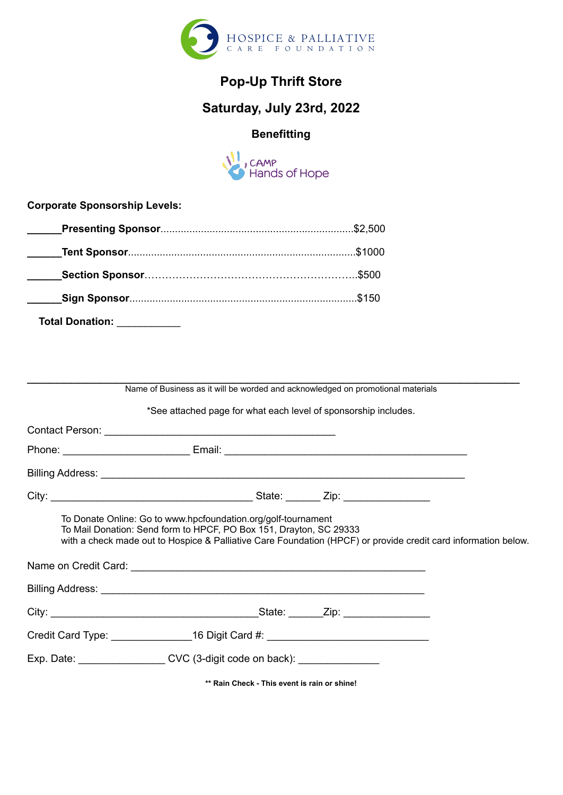

# **Pop-Up Thrift Store**

## **Saturday, July 23rd, 2022**

### **Benefitting**



**Corporate Sponsorship Levels:**

| Total Donation:<br><u> 1990 - Johann Barnett, fransk politiker</u> |  |
|--------------------------------------------------------------------|--|

| Name of Business as it will be worded and acknowledged on promotional materials                                                                                                                                                                       |  |
|-------------------------------------------------------------------------------------------------------------------------------------------------------------------------------------------------------------------------------------------------------|--|
| *See attached page for what each level of sponsorship includes.                                                                                                                                                                                       |  |
|                                                                                                                                                                                                                                                       |  |
|                                                                                                                                                                                                                                                       |  |
|                                                                                                                                                                                                                                                       |  |
|                                                                                                                                                                                                                                                       |  |
| To Donate Online: Go to www.hpcfoundation.org/golf-tournament<br>To Mail Donation: Send form to HPCF, PO Box 151, Drayton, SC 29333<br>with a check made out to Hospice & Palliative Care Foundation (HPCF) or provide credit card information below. |  |
|                                                                                                                                                                                                                                                       |  |
|                                                                                                                                                                                                                                                       |  |
| Credit Card Type: ______________16 Digit Card #: _______________________________                                                                                                                                                                      |  |
| Exp. Date: ____________________CVC (3-digit code on back): _____________________                                                                                                                                                                      |  |
|                                                                                                                                                                                                                                                       |  |

**\*\* Rain Check - This event is rain or shine!**